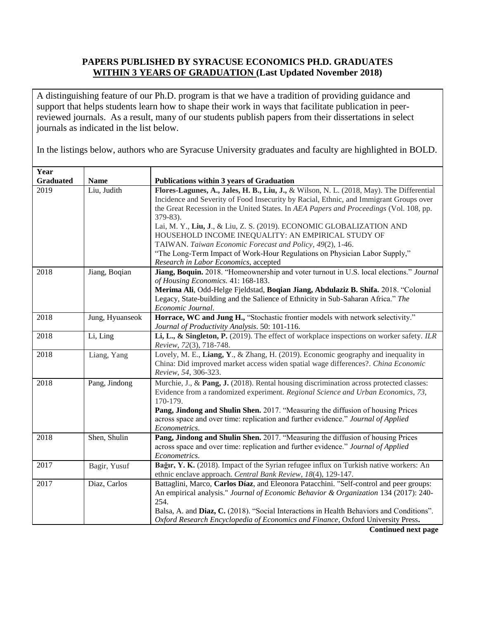## **PAPERS PUBLISHED BY SYRACUSE ECONOMICS PH.D. GRADUATES WITHIN 3 YEARS OF GRADUATION (Last Updated November 2018)**

A distinguishing feature of our Ph.D. program is that we have a tradition of providing guidance and support that helps students learn how to shape their work in ways that facilitate publication in peerreviewed journals. As a result, many of our students publish papers from their dissertations in select journals as indicated in the list below.

In the listings below, authors who are Syracuse University graduates and faculty are highlighted in BOLD.

| Year             |                 |                                                                                           |
|------------------|-----------------|-------------------------------------------------------------------------------------------|
| <b>Graduated</b> | <b>Name</b>     | <b>Publications within 3 years of Graduation</b>                                          |
| 2019             | Liu, Judith     | Flores-Lagunes, A., Jales, H. B., Liu, J., & Wilson, N. L. (2018, May). The Differential  |
|                  |                 | Incidence and Severity of Food Insecurity by Racial, Ethnic, and Immigrant Groups over    |
|                  |                 | the Great Recession in the United States. In AEA Papers and Proceedings (Vol. 108, pp.    |
|                  |                 | 379-83).                                                                                  |
|                  |                 | Lai, M. Y., Liu, J., & Liu, Z. S. (2019). ECONOMIC GLOBALIZATION AND                      |
|                  |                 | HOUSEHOLD INCOME INEQUALITY: AN EMPIRICAL STUDY OF                                        |
|                  |                 | TAIWAN. Taiwan Economic Forecast and Policy, 49(2), 1-46.                                 |
|                  |                 | "The Long-Term Impact of Work-Hour Regulations on Physician Labor Supply,"                |
|                  |                 | Research in Labor Economics, accepted                                                     |
| 2018             | Jiang, Boqian   | Jiang, Boquin. 2018. "Homeownership and voter turnout in U.S. local elections." Journal   |
|                  |                 | of Housing Economics. 41: 168-183.                                                        |
|                  |                 | Merima Ali, Odd-Helge Fjeldstad, Boqian Jiang, Abdulaziz B. Shifa. 2018. "Colonial        |
|                  |                 | Legacy, State-building and the Salience of Ethnicity in Sub-Saharan Africa." The          |
|                  |                 | Economic Journal.                                                                         |
| 2018             | Jung, Hyuanseok | Horrace, WC and Jung H., "Stochastic frontier models with network selectivity."           |
|                  |                 | Journal of Productivity Analysis. 50: 101-116.                                            |
| 2018             | Li, Ling        | Li, L., & Singleton, P. (2019). The effect of workplace inspections on worker safety. ILR |
|                  |                 | Review, 72(3), 718-748.                                                                   |
| 2018             | Liang, Yang     | Lovely, M. E., Liang, Y., & Zhang, H. (2019). Economic geography and inequality in        |
|                  |                 | China: Did improved market access widen spatial wage differences?. China Economic         |
|                  |                 | Review, 54, 306-323.                                                                      |
| 2018             | Pang, Jindong   | Murchie, J., & Pang, J. (2018). Rental housing discrimination across protected classes:   |
|                  |                 | Evidence from a randomized experiment. Regional Science and Urban Economics, 73,          |
|                  |                 | 170-179.                                                                                  |
|                  |                 | Pang, Jindong and Shulin Shen. 2017. "Measuring the diffusion of housing Prices           |
|                  |                 | across space and over time: replication and further evidence." Journal of Applied         |
|                  |                 | Econometrics.                                                                             |
| 2018             | Shen, Shulin    | Pang, Jindong and Shulin Shen. 2017. "Measuring the diffusion of housing Prices           |
|                  |                 | across space and over time: replication and further evidence." Journal of Applied         |
|                  |                 | Econometrics.                                                                             |
| 2017             | Bagir, Yusuf    | Bağır, Y. K. (2018). Impact of the Syrian refugee influx on Turkish native workers: An    |
|                  |                 | ethnic enclave approach. Central Bank Review, 18(4), 129-147.                             |
| 2017             | Diaz, Carlos    | Battaglini, Marco, Carlos Díaz, and Eleonora Patacchini. "Self-control and peer groups:   |
|                  |                 | An empirical analysis." Journal of Economic Behavior & Organization 134 (2017): 240-      |
|                  |                 | 254.                                                                                      |
|                  |                 | Balsa, A. and Diaz, C. (2018). "Social Interactions in Health Behaviors and Conditions".  |
|                  |                 | Oxford Research Encyclopedia of Economics and Finance, Oxford University Press.           |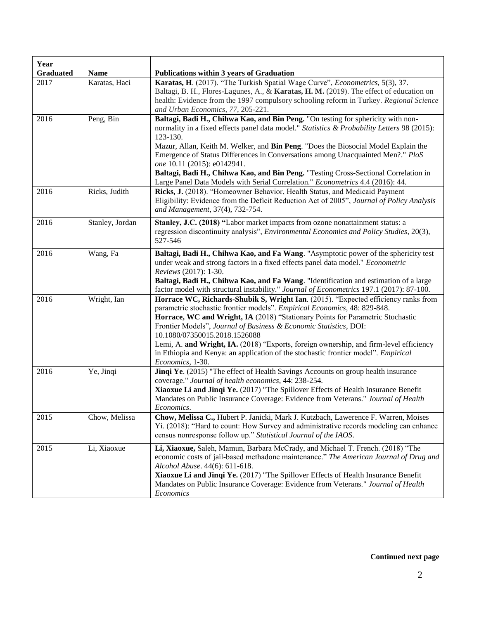| Year<br><b>Graduated</b> | <b>Name</b>     | <b>Publications within 3 years of Graduation</b>                                                                                                                                                                                                                                                                                                                                                                                                                                                                                                                             |
|--------------------------|-----------------|------------------------------------------------------------------------------------------------------------------------------------------------------------------------------------------------------------------------------------------------------------------------------------------------------------------------------------------------------------------------------------------------------------------------------------------------------------------------------------------------------------------------------------------------------------------------------|
| 2017                     | Karatas, Haci   | Karatas, H. (2017). "The Turkish Spatial Wage Curve", Econometrics, 5(3), 37.<br>Baltagi, B. H., Flores-Lagunes, A., & Karatas, H. M. (2019). The effect of education on<br>health: Evidence from the 1997 compulsory schooling reform in Turkey. Regional Science<br>and Urban Economics, 77, 205-221.                                                                                                                                                                                                                                                                      |
| 2016                     | Peng, Bin       | Baltagi, Badi H., Chihwa Kao, and Bin Peng. "On testing for sphericity with non-<br>normality in a fixed effects panel data model." Statistics & Probability Letters 98 (2015):<br>123-130.<br>Mazur, Allan, Keith M. Welker, and Bin Peng. "Does the Biosocial Model Explain the<br>Emergence of Status Differences in Conversations among Unacquainted Men?." PloS<br>one 10.11 (2015): e0142941.<br>Baltagi, Badi H., Chihwa Kao, and Bin Peng. "Testing Cross-Sectional Correlation in<br>Large Panel Data Models with Serial Correlation." Econometrics 4.4 (2016): 44. |
| 2016                     | Ricks, Judith   | Ricks, J. (2018). "Homeowner Behavior, Health Status, and Medicaid Payment<br>Eligibility: Evidence from the Deficit Reduction Act of 2005", Journal of Policy Analysis<br>and Management, 37(4), 732-754.                                                                                                                                                                                                                                                                                                                                                                   |
| 2016                     | Stanley, Jordan | Stanley, J.C. (2018) "Labor market impacts from ozone nonattainment status: a<br>regression discontinuity analysis", <i>Environmental Economics and Policy Studies</i> , 20(3),<br>527-546                                                                                                                                                                                                                                                                                                                                                                                   |
| 2016                     | Wang, Fa        | Baltagi, Badi H., Chihwa Kao, and Fa Wang. "Asymptotic power of the sphericity test<br>under weak and strong factors in a fixed effects panel data model." Econometric<br>Reviews (2017): 1-30.<br>Baltagi, Badi H., Chihwa Kao, and Fa Wang. "Identification and estimation of a large<br>factor model with structural instability." Journal of Econometrics 197.1 (2017): 87-100.                                                                                                                                                                                          |
| 2016                     | Wright, Ian     | Horrace WC, Richards-Shubik S, Wright Ian. (2015). "Expected efficiency ranks from<br>parametric stochastic frontier models". Empirical Economics, 48: 829-848.<br>Horrace, WC and Wright, IA (2018) "Stationary Points for Parametric Stochastic<br>Frontier Models", Journal of Business & Economic Statistics, DOI:<br>10.1080/07350015.2018.1526088<br>Lemi, A. and Wright, IA. (2018) "Exports, foreign ownership, and firm-level efficiency<br>in Ethiopia and Kenya: an application of the stochastic frontier model". <i>Empirical</i><br>Economics, 1-30.           |
| 2016                     | Ye, Jinqi       | Jinqi Ye. (2015) "The effect of Health Savings Accounts on group health insurance<br>coverage." Journal of health economics, 44: 238-254.<br>Xiaoxue Li and Jinqi Ye. (2017) "The Spillover Effects of Health Insurance Benefit<br>Mandates on Public Insurance Coverage: Evidence from Veterans." Journal of Health<br>Economics.                                                                                                                                                                                                                                           |
| 2015                     | Chow, Melissa   | Chow, Melissa C., Hubert P. Janicki, Mark J. Kutzbach, Lawerence F. Warren, Moises<br>Yi. (2018): "Hard to count: How Survey and administrative records modeling can enhance<br>census nonresponse follow up." Statistical Journal of the IAOS.                                                                                                                                                                                                                                                                                                                              |
| 2015                     | Li, Xiaoxue     | Li, Xiaoxue, Saleh, Mamun, Barbara McCrady, and Michael T. French. (2018) "The<br>economic costs of jail-based methadone maintenance." The American Journal of Drug and<br>Alcohol Abuse. 44(6): 611-618.<br>Xiaoxue Li and Jinqi Ye. (2017) "The Spillover Effects of Health Insurance Benefit<br>Mandates on Public Insurance Coverage: Evidence from Veterans." Journal of Health<br>Economics                                                                                                                                                                            |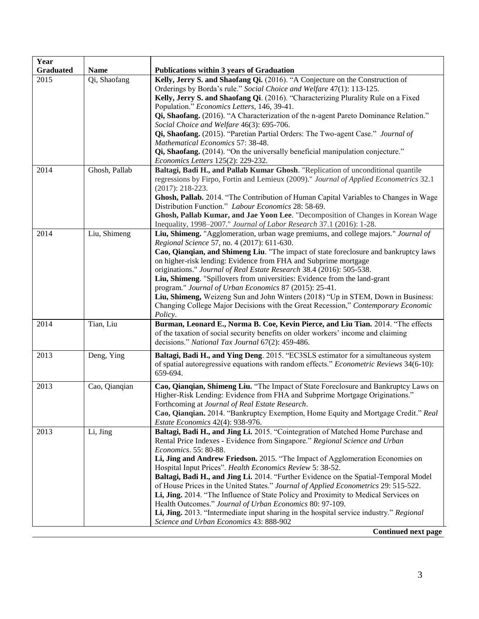| Year             |               |                                                                                                                                                 |
|------------------|---------------|-------------------------------------------------------------------------------------------------------------------------------------------------|
| <b>Graduated</b> | <b>Name</b>   | <b>Publications within 3 years of Graduation</b>                                                                                                |
| 2015             | Qi, Shaofang  | Kelly, Jerry S. and Shaofang Qi. (2016). "A Conjecture on the Construction of                                                                   |
|                  |               | Orderings by Borda's rule." Social Choice and Welfare 47(1): 113-125.                                                                           |
|                  |               | Kelly, Jerry S. and Shaofang Qi. (2016). "Characterizing Plurality Rule on a Fixed                                                              |
|                  |               | Population." Economics Letters, 146, 39-41.                                                                                                     |
|                  |               | Qi, Shaofang. (2016). "A Characterization of the n-agent Pareto Dominance Relation."                                                            |
|                  |               | Social Choice and Welfare 46(3): 695-706.                                                                                                       |
|                  |               | Qi, Shaofang. (2015). "Paretian Partial Orders: The Two-agent Case." Journal of                                                                 |
|                  |               | Mathematical Economics 57: 38-48.                                                                                                               |
|                  |               | Qi, Shaofang. (2014). "On the universally beneficial manipulation conjecture."                                                                  |
|                  |               | Economics Letters 125(2): 229-232.                                                                                                              |
| 2014             | Ghosh, Pallab | Baltagi, Badi H., and Pallab Kumar Ghosh. "Replication of unconditional quantile                                                                |
|                  |               | regressions by Firpo, Fortin and Lemieux (2009)." Journal of Applied Econometrics 32.1                                                          |
|                  |               | $(2017): 218-223.$                                                                                                                              |
|                  |               | Ghosh, Pallab. 2014. "The Contribution of Human Capital Variables to Changes in Wage<br>Distribution Function." Labour Economics 28: 58-69.     |
|                  |               | Ghosh, Pallab Kumar, and Jae Yoon Lee. "Decomposition of Changes in Korean Wage                                                                 |
|                  |               | Inequality, 1998-2007." Journal of Labor Research 37.1 (2016): 1-28.                                                                            |
| 2014             | Liu, Shimeng  | Liu, Shimeng. "Agglomeration, urban wage premiums, and college majors." Journal of                                                              |
|                  |               | Regional Science 57, no. 4 (2017): 611-630.                                                                                                     |
|                  |               | Cao, Qianqian, and Shimeng Liu. "The impact of state foreclosure and bankruptcy laws                                                            |
|                  |               | on higher-risk lending: Evidence from FHA and Subprime mortgage                                                                                 |
|                  |               | originations." Journal of Real Estate Research 38.4 (2016): 505-538.                                                                            |
|                  |               | Liu, Shimeng. "Spillovers from universities: Evidence from the land-grant                                                                       |
|                  |               | program." Journal of Urban Economics 87 (2015): 25-41.                                                                                          |
|                  |               | Liu, Shimeng, Weizeng Sun and John Winters (2018) "Up in STEM, Down in Business:                                                                |
|                  |               | Changing College Major Decisions with the Great Recession," Contemporary Economic                                                               |
|                  |               | Policy.                                                                                                                                         |
| 2014             | Tian, Liu     | Burman, Leonard E., Norma B. Coe, Kevin Pierce, and Liu Tian. 2014. "The effects                                                                |
|                  |               | of the taxation of social security benefits on older workers' income and claiming                                                               |
|                  |               | decisions." National Tax Journal 67(2): 459-486.                                                                                                |
| 2013             | Deng, Ying    | Baltagi, Badi H., and Ying Deng. 2015. "EC3SLS estimator for a simultaneous system                                                              |
|                  |               | of spatial autoregressive equations with random effects." <i>Econometric Reviews</i> 34(6-10):                                                  |
|                  |               | 659-694.                                                                                                                                        |
|                  |               |                                                                                                                                                 |
| 2013             | Cao, Qianqian | Cao, Qianqian, Shimeng Liu. "The Impact of State Foreclosure and Bankruptcy Laws on                                                             |
|                  |               | Higher-Risk Lending: Evidence from FHA and Subprime Mortgage Originations."                                                                     |
|                  |               | Forthcoming at Journal of Real Estate Research.                                                                                                 |
|                  |               | Cao, Qianqian. 2014. "Bankruptcy Exemption, Home Equity and Mortgage Credit." Real                                                              |
|                  |               | Estate Economics 42(4): 938-976.                                                                                                                |
| 2013             | Li, Jing      | Baltagi, Badi H., and Jing Li. 2015. "Cointegration of Matched Home Purchase and                                                                |
|                  |               | Rental Price Indexes - Evidence from Singapore." Regional Science and Urban                                                                     |
|                  |               | Economics. 55: 80-88.                                                                                                                           |
|                  |               | Li, Jing and Andrew Friedson. 2015. "The Impact of Agglomeration Economies on                                                                   |
|                  |               | Hospital Input Prices". Health Economics Review 5: 38-52.                                                                                       |
|                  |               | Baltagi, Badi H., and Jing Li. 2014. "Further Evidence on the Spatial-Temporal Model                                                            |
|                  |               | of House Prices in the United States." Journal of Applied Econometrics 29: 515-522.                                                             |
|                  |               | Li, Jing. 2014. "The Influence of State Policy and Proximity to Medical Services on<br>Health Outcomes." Journal of Urban Economics 80: 97-109. |
|                  |               |                                                                                                                                                 |
|                  |               | Li, Jing. 2013. "Intermediate input sharing in the hospital service industry." Regional                                                         |
|                  |               | Science and Urban Economics 43: 888-902                                                                                                         |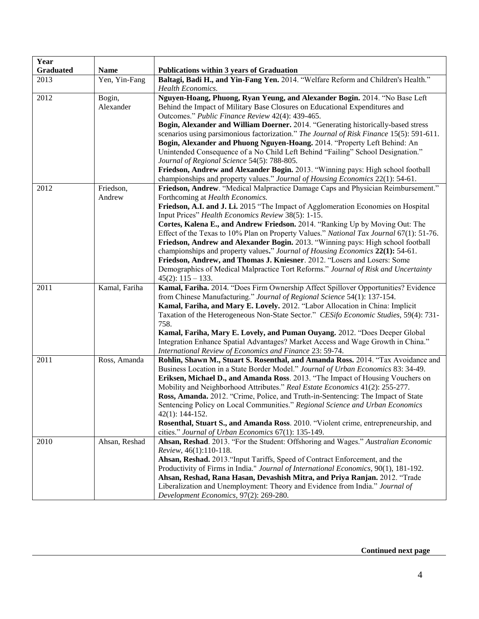| Year             |                     |                                                                                                                                                                                                                                                                                                                                                                                                                                                                                                                                                                                                                                                                                                                                                                                                          |
|------------------|---------------------|----------------------------------------------------------------------------------------------------------------------------------------------------------------------------------------------------------------------------------------------------------------------------------------------------------------------------------------------------------------------------------------------------------------------------------------------------------------------------------------------------------------------------------------------------------------------------------------------------------------------------------------------------------------------------------------------------------------------------------------------------------------------------------------------------------|
| <b>Graduated</b> | <b>Name</b>         | Publications within 3 years of Graduation                                                                                                                                                                                                                                                                                                                                                                                                                                                                                                                                                                                                                                                                                                                                                                |
| 2013             | Yen, Yin-Fang       | Baltagi, Badi H., and Yin-Fang Yen. 2014. "Welfare Reform and Children's Health."<br><b>Health Economics.</b>                                                                                                                                                                                                                                                                                                                                                                                                                                                                                                                                                                                                                                                                                            |
| 2012             | Bogin,<br>Alexander | Nguyen-Hoang, Phuong, Ryan Yeung, and Alexander Bogin. 2014. "No Base Left<br>Behind the Impact of Military Base Closures on Educational Expenditures and<br>Outcomes." Public Finance Review 42(4): 439-465.<br>Bogin, Alexander and William Doerner. 2014. "Generating historically-based stress<br>scenarios using parsimonious factorization." The Journal of Risk Finance 15(5): 591-611.<br>Bogin, Alexander and Phuong Nguyen-Hoang. 2014. "Property Left Behind: An<br>Unintended Consequence of a No Child Left Behind "Failing" School Designation."<br>Journal of Regional Science 54(5): 788-805.<br>Friedson, Andrew and Alexander Bogin. 2013. "Winning pays: High school football<br>championships and property values." Journal of Housing Economics 22(1): 54-61.                       |
| 2012             | Friedson,<br>Andrew | Friedson, Andrew. "Medical Malpractice Damage Caps and Physician Reimbursement."<br>Forthcoming at Health Economics.<br>Friedson, A.I. and J. Li. 2015 "The Impact of Agglomeration Economies on Hospital<br>Input Prices" Health Economics Review 38(5): 1-15.<br>Cortes, Kalena E., and Andrew Friedson. 2014. "Ranking Up by Moving Out: The<br>Effect of the Texas to 10% Plan on Property Values." National Tax Journal 67(1): 51-76.<br>Friedson, Andrew and Alexander Bogin. 2013. "Winning pays: High school football<br>championships and property values." Journal of Housing Economics 22(1): 54-61.<br>Friedson, Andrew, and Thomas J. Kniesner. 2012. "Losers and Losers: Some<br>Demographics of Medical Malpractice Tort Reforms." Journal of Risk and Uncertainty<br>$45(2): 115 - 133.$ |
| 2011             | Kamal, Fariha       | Kamal, Fariha. 2014. "Does Firm Ownership Affect Spillover Opportunities? Evidence<br>from Chinese Manufacturing." Journal of Regional Science 54(1): 137-154.<br>Kamal, Fariha, and Mary E. Lovely. 2012. "Labor Allocation in China: Implicit<br>Taxation of the Heterogeneous Non-State Sector." CESifo Economic Studies, 59(4): 731-<br>758.<br>Kamal, Fariha, Mary E. Lovely, and Puman Ouyang. 2012. "Does Deeper Global<br>Integration Enhance Spatial Advantages? Market Access and Wage Growth in China."<br>International Review of Economics and Finance 23: 59-74.                                                                                                                                                                                                                           |
| 2011             | Ross, Amanda        | Rohlin, Shawn M., Stuart S. Rosenthal, and Amanda Ross. 2014. "Tax Avoidance and<br>Business Location in a State Border Model." Journal of Urban Economics 83: 34-49.<br>Eriksen, Michael D., and Amanda Ross. 2013. "The Impact of Housing Vouchers on<br>Mobility and Neighborhood Attributes." Real Estate Economics 41(2): 255-277.<br>Ross, Amanda. 2012. "Crime, Police, and Truth-in-Sentencing: The Impact of State<br>Sentencing Policy on Local Communities." Regional Science and Urban Economics<br>$42(1): 144-152.$<br>Rosenthal, Stuart S., and Amanda Ross. 2010. "Violent crime, entrepreneurship, and<br>cities." Journal of Urban Economics 67(1): 135-149.                                                                                                                           |
| 2010             | Ahsan, Reshad       | Ahsan, Reshad. 2013. "For the Student: Offshoring and Wages." Australian Economic<br>Review, 46(1):110-118.<br>Ahsan, Reshad. 2013. "Input Tariffs, Speed of Contract Enforcement, and the<br>Productivity of Firms in India." Journal of International Economics, 90(1), 181-192.<br>Ahsan, Reshad, Rana Hasan, Devashish Mitra, and Priya Ranjan. 2012. "Trade<br>Liberalization and Unemployment: Theory and Evidence from India." Journal of<br>Development Economics, 97(2): 269-280.                                                                                                                                                                                                                                                                                                               |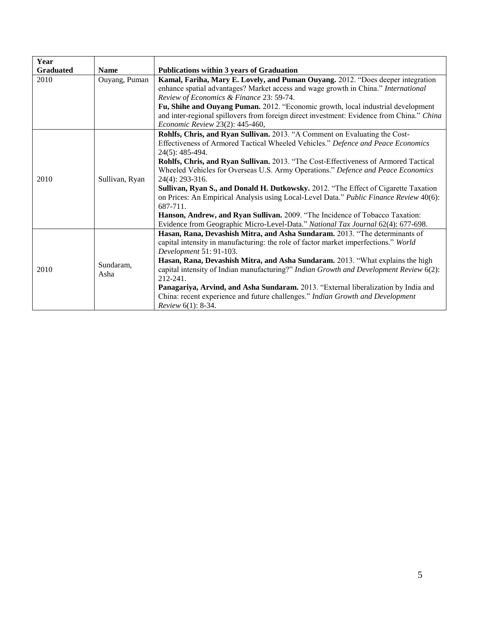| Year             |                   |                                                                                                                                                                                                                                                                                                                                                                                                                                                                                                                                                                                                                                                                                                                                                  |
|------------------|-------------------|--------------------------------------------------------------------------------------------------------------------------------------------------------------------------------------------------------------------------------------------------------------------------------------------------------------------------------------------------------------------------------------------------------------------------------------------------------------------------------------------------------------------------------------------------------------------------------------------------------------------------------------------------------------------------------------------------------------------------------------------------|
| <b>Graduated</b> | <b>Name</b>       | <b>Publications within 3 years of Graduation</b>                                                                                                                                                                                                                                                                                                                                                                                                                                                                                                                                                                                                                                                                                                 |
| 2010             | Ouyang, Puman     | Kamal, Fariha, Mary E. Lovely, and Puman Ouyang. 2012. "Does deeper integration<br>enhance spatial advantages? Market access and wage growth in China." International<br>Review of Economics & Finance 23: 59-74.<br>Fu, Shihe and Ouyang Puman. 2012. "Economic growth, local industrial development<br>and inter-regional spillovers from foreign direct investment: Evidence from China." China<br>Economic Review 23(2): 445-460,                                                                                                                                                                                                                                                                                                            |
| 2010             | Sullivan, Ryan    | Rohlfs, Chris, and Ryan Sullivan. 2013. "A Comment on Evaluating the Cost-<br>Effectiveness of Armored Tactical Wheeled Vehicles." Defence and Peace Economics<br>24(5): 485-494.<br>Rohlfs, Chris, and Ryan Sullivan. 2013. "The Cost-Effectiveness of Armored Tactical<br>Wheeled Vehicles for Overseas U.S. Army Operations." Defence and Peace Economics<br>24(4): 293-316.<br>Sullivan, Ryan S., and Donald H. Dutkowsky. 2012. "The Effect of Cigarette Taxation<br>on Prices: An Empirical Analysis using Local-Level Data." Public Finance Review 40(6):<br>687-711.<br>Hanson, Andrew, and Ryan Sullivan. 2009. "The Incidence of Tobacco Taxation:<br>Evidence from Geographic Micro-Level-Data." National Tax Journal 62(4): 677-698. |
| 2010             | Sundaram,<br>Asha | Hasan, Rana, Devashish Mitra, and Asha Sundaram. 2013. "The determinants of<br>capital intensity in manufacturing: the role of factor market imperfections." World<br>Development 51: 91-103.<br>Hasan, Rana, Devashish Mitra, and Asha Sundaram. 2013. "What explains the high<br>capital intensity of Indian manufacturing?" Indian Growth and Development Review 6(2):<br>212-241.<br>Panagariya, Arvind, and Asha Sundaram. 2013. "External liberalization by India and<br>China: recent experience and future challenges." Indian Growth and Development<br>Review 6(1): 8-34.                                                                                                                                                              |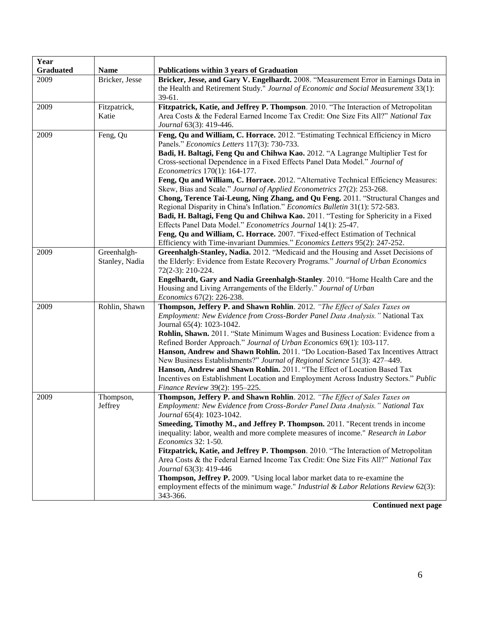| Year             |                |                                                                                      |
|------------------|----------------|--------------------------------------------------------------------------------------|
| <b>Graduated</b> | <b>Name</b>    | Publications within 3 years of Graduation                                            |
| 2009             | Bricker, Jesse | Bricker, Jesse, and Gary V. Engelhardt. 2008. "Measurement Error in Earnings Data in |
|                  |                | the Health and Retirement Study." Journal of Economic and Social Measurement 33(1):  |
|                  |                | 39-61.                                                                               |
| 2009             | Fitzpatrick,   | Fitzpatrick, Katie, and Jeffrey P. Thompson. 2010. "The Interaction of Metropolitan  |
|                  | Katie          | Area Costs & the Federal Earned Income Tax Credit: One Size Fits All?" National Tax  |
|                  |                | Journal 63(3): 419-446.                                                              |
| 2009             | Feng, Qu       | Feng, Qu and William, C. Horrace. 2012. "Estimating Technical Efficiency in Micro    |
|                  |                | Panels." Economics Letters 117(3): 730-733.                                          |
|                  |                | Badi, H. Baltagi, Feng Qu and Chihwa Kao. 2012. "A Lagrange Multiplier Test for      |
|                  |                | Cross-sectional Dependence in a Fixed Effects Panel Data Model." Journal of          |
|                  |                | Econometrics 170(1): 164-177.                                                        |
|                  |                | Feng, Qu and William, C. Horrace. 2012. "Alternative Technical Efficiency Measures:  |
|                  |                | Skew, Bias and Scale." Journal of Applied Econometrics 27(2): 253-268.               |
|                  |                | Chong, Terence Tai-Leung, Ning Zhang, and Qu Feng. 2011. "Structural Changes and     |
|                  |                | Regional Disparity in China's Inflation." Economics Bulletin 31(1): 572-583.         |
|                  |                | Badi, H. Baltagi, Feng Qu and Chihwa Kao. 2011. "Testing for Sphericity in a Fixed   |
|                  |                | Effects Panel Data Model." Econometrics Journal 14(1): 25-47.                        |
|                  |                | Feng, Qu and William, C. Horrace. 2007. "Fixed-effect Estimation of Technical        |
|                  |                | Efficiency with Time-invariant Dummies." Economics Letters 95(2): 247-252.           |
| 2009             | Greenhalgh-    | Greenhalgh-Stanley, Nadia. 2012. "Medicaid and the Housing and Asset Decisions of    |
|                  | Stanley, Nadia | the Elderly: Evidence from Estate Recovery Programs." Journal of Urban Economics     |
|                  |                | 72(2-3): 210-224.                                                                    |
|                  |                | Engelhardt, Gary and Nadia Greenhalgh-Stanley. 2010. "Home Health Care and the       |
|                  |                | Housing and Living Arrangements of the Elderly." Journal of Urban                    |
|                  |                | Economics 67(2): 226-238.                                                            |
| 2009             | Rohlin, Shawn  | Thompson, Jeffery P. and Shawn Rohlin. 2012. "The Effect of Sales Taxes on           |
|                  |                | Employment: New Evidence from Cross-Border Panel Data Analysis." National Tax        |
|                  |                | Journal 65(4): 1023-1042.                                                            |
|                  |                | Rohlin, Shawn. 2011. "State Minimum Wages and Business Location: Evidence from a     |
|                  |                | Refined Border Approach." Journal of Urban Economics 69(1): 103-117.                 |
|                  |                | Hanson, Andrew and Shawn Rohlin. 2011. "Do Location-Based Tax Incentives Attract     |
|                  |                | New Business Establishments?" Journal of Regional Science 51(3): 427-449.            |
|                  |                | Hanson, Andrew and Shawn Rohlin. 2011. "The Effect of Location Based Tax             |
|                  |                | Incentives on Establishment Location and Employment Across Industry Sectors." Public |
|                  |                | Finance Review 39(2): 195-225.                                                       |
| 2009             | Thompson,      | Thompson, Jeffery P. and Shawn Rohlin. 2012. "The Effect of Sales Taxes on           |
|                  | Jeffrey        | Employment: New Evidence from Cross-Border Panel Data Analysis." National Tax        |
|                  |                | Journal 65(4): 1023-1042.                                                            |
|                  |                | Smeeding, Timothy M., and Jeffrey P. Thompson. 2011. "Recent trends in income        |
|                  |                | inequality: labor, wealth and more complete measures of income." Research in Labor   |
|                  |                | Economics 32: 1-50.                                                                  |
|                  |                | Fitzpatrick, Katie, and Jeffrey P. Thompson. 2010. "The Interaction of Metropolitan  |
|                  |                | Area Costs & the Federal Earned Income Tax Credit: One Size Fits All?" National Tax  |
|                  |                | Journal 63(3): 419-446                                                               |
|                  |                | Thompson, Jeffrey P. 2009. "Using local labor market data to re-examine the          |
|                  |                | employment effects of the minimum wage." Industrial & Labor Relations Review 62(3):  |
|                  |                | 343-366.                                                                             |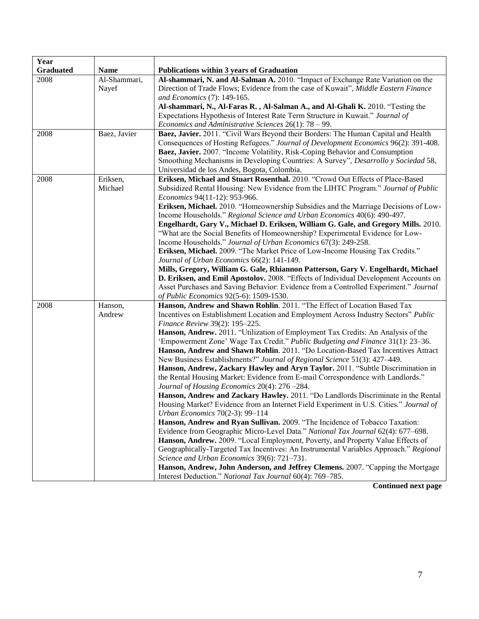| Year             |              |                                                                                                                       |
|------------------|--------------|-----------------------------------------------------------------------------------------------------------------------|
| <b>Graduated</b> | <b>Name</b>  | <b>Publications within 3 years of Graduation</b>                                                                      |
| 2008             | Al-Shammari, | Al-shammari, N. and Al-Salman A. 2010. "Impact of Exchange Rate Variation on the                                      |
|                  | Nayef        | Direction of Trade Flows; Evidence from the case of Kuwait", Middle Eastern Finance                                   |
|                  |              | and Economics (7): 149-165.                                                                                           |
|                  |              | Al-shammari, N., Al-Faras R., Al-Salman A., and Al-Ghali K. 2010. "Testing the                                        |
|                  |              | Expectations Hypothesis of Interest Rate Term Structure in Kuwait." Journal of                                        |
|                  |              | Economics and Administrative Sciences $26(1)$ : 78 – 99.                                                              |
| 2008             | Baez, Javier | Baez, Javier. 2011. "Civil Wars Beyond their Borders: The Human Capital and Health                                    |
|                  |              | Consequences of Hosting Refugees." Journal of Development Economics 96(2): 391-408.                                   |
|                  |              | Baez, Javier. 2007. "Income Volatility, Risk-Coping Behavior and Consumption                                          |
|                  |              | Smoothing Mechanisms in Developing Countries: A Survey", Desarrollo y Sociedad 58,                                    |
|                  |              | Universidad de los Andes, Bogota, Colombia.                                                                           |
| 2008             | Eriksen,     | Eriksen, Michael and Stuart Rosenthal. 2010. "Crowd Out Effects of Place-Based                                        |
|                  | Michael      | Subsidized Rental Housing: New Evidence from the LIHTC Program." Journal of Public                                    |
|                  |              | Economics 94(11-12): 953-966.                                                                                         |
|                  |              | Eriksen, Michael. 2010. "Homeownership Subsidies and the Marriage Decisions of Low-                                   |
|                  |              | Income Households." Regional Science and Urban Economics 40(6): 490-497.                                              |
|                  |              | Engelhardt, Gary V., Michael D. Eriksen, William G. Gale, and Gregory Mills. 2010.                                    |
|                  |              | "What are the Social Benefits of Homeownership? Experimental Evidence for Low-                                        |
|                  |              | Income Households." Journal of Urban Economics 67(3): 249-258.                                                        |
|                  |              | Eriksen, Michael. 2009. "The Market Price of Low-Income Housing Tax Credits."                                         |
|                  |              | Journal of Urban Economics 66(2): 141-149.                                                                            |
|                  |              | Mills, Gregory, William G. Gale, Rhiannon Patterson, Gary V. Engelhardt, Michael                                      |
|                  |              | D. Eriksen, and Emil Apostolov. 2008. "Effects of Individual Development Accounts on                                  |
|                  |              | Asset Purchases and Saving Behavior: Evidence from a Controlled Experiment." Journal                                  |
|                  |              | of Public Economics 92(5-6): 1509-1530.                                                                               |
| 2008             | Hanson,      | Hanson, Andrew and Shawn Rohlin. 2011. "The Effect of Location Based Tax                                              |
|                  | Andrew       | Incentives on Establishment Location and Employment Across Industry Sectors" Public<br>Finance Review 39(2): 195-225. |
|                  |              | Hanson, Andrew. 2011. "Utilization of Employment Tax Credits: An Analysis of the                                      |
|                  |              | 'Empowerment Zone' Wage Tax Credit." Public Budgeting and Finance 31(1): 23–36.                                       |
|                  |              | Hanson, Andrew and Shawn Rohlin. 2011. "Do Location-Based Tax Incentives Attract                                      |
|                  |              | New Business Establishments?" Journal of Regional Science 51(3): 427–449.                                             |
|                  |              | Hanson, Andrew, Zackary Hawley and Aryn Taylor. 2011. "Subtle Discrimination in                                       |
|                  |              | the Rental Housing Market: Evidence from E-mail Correspondence with Landlords."                                       |
|                  |              | Journal of Housing Economics 20(4): 276-284.                                                                          |
|                  |              | Hanson, Andrew and Zackary Hawley. 2011. "Do Landlords Discriminate in the Rental                                     |
|                  |              | Housing Market? Evidence from an Internet Field Experiment in U.S. Cities." Journal of                                |
|                  |              | Urban Economics 70(2-3): 99-114                                                                                       |
|                  |              | Hanson, Andrew and Ryan Sullivan. 2009. "The Incidence of Tobacco Taxation:                                           |
|                  |              | Evidence from Geographic Micro-Level Data." National Tax Journal 62(4): 677–698.                                      |
|                  |              | Hanson, Andrew. 2009. "Local Employment, Poverty, and Property Value Effects of                                       |
|                  |              | Geographically-Targeted Tax Incentives: An Instrumental Variables Approach." Regional                                 |
|                  |              | Science and Urban Economics 39(6): 721-731.                                                                           |
|                  |              | Hanson, Andrew, John Anderson, and Jeffrey Clemens. 2007. "Capping the Mortgage                                       |
|                  |              | Interest Deduction." National Tax Journal 60(4): 769-785.                                                             |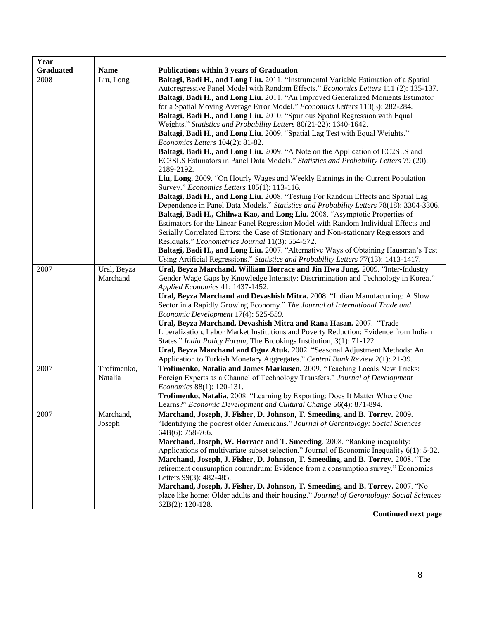| Year             |             |                                                                                                                                                             |
|------------------|-------------|-------------------------------------------------------------------------------------------------------------------------------------------------------------|
| <b>Graduated</b> | <b>Name</b> | <b>Publications within 3 years of Graduation</b>                                                                                                            |
| 2008             | Liu, Long   | Baltagi, Badi H., and Long Liu. 2011. "Instrumental Variable Estimation of a Spatial                                                                        |
|                  |             | Autoregressive Panel Model with Random Effects." Economics Letters 111 (2): 135-137.                                                                        |
|                  |             | Baltagi, Badi H., and Long Liu. 2011. "An Improved Generalized Moments Estimator                                                                            |
|                  |             | for a Spatial Moving Average Error Model." Economics Letters 113(3): 282-284.                                                                               |
|                  |             | Baltagi, Badi H., and Long Liu. 2010. "Spurious Spatial Regression with Equal                                                                               |
|                  |             | Weights." Statistics and Probability Letters 80(21-22): 1640-1642.                                                                                          |
|                  |             | Baltagi, Badi H., and Long Liu. 2009. "Spatial Lag Test with Equal Weights."                                                                                |
|                  |             | Economics Letters 104(2): 81-82.                                                                                                                            |
|                  |             | Baltagi, Badi H., and Long Liu. 2009. "A Note on the Application of EC2SLS and                                                                              |
|                  |             | EC3SLS Estimators in Panel Data Models." Statistics and Probability Letters 79 (20):<br>2189-2192.                                                          |
|                  |             | Liu, Long. 2009. "On Hourly Wages and Weekly Earnings in the Current Population                                                                             |
|                  |             | Survey." Economics Letters 105(1): 113-116.                                                                                                                 |
|                  |             | Baltagi, Badi H., and Long Liu. 2008. "Testing For Random Effects and Spatial Lag                                                                           |
|                  |             | Dependence in Panel Data Models." Statistics and Probability Letters 78(18): 3304-3306.                                                                     |
|                  |             | Baltagi, Badi H., Chihwa Kao, and Long Liu. 2008. "Asymptotic Properties of                                                                                 |
|                  |             | Estimators for the Linear Panel Regression Model with Random Individual Effects and                                                                         |
|                  |             | Serially Correlated Errors: the Case of Stationary and Non-stationary Regressors and                                                                        |
|                  |             | Residuals." Econometrics Journal 11(3): 554-572.                                                                                                            |
|                  |             | Baltagi, Badi H., and Long Liu. 2007. "Alternative Ways of Obtaining Hausman's Test                                                                         |
|                  |             | Using Artificial Regressions." Statistics and Probability Letters 77(13): 1413-1417.                                                                        |
| 2007             | Ural, Beyza | Ural, Beyza Marchand, William Horrace and Jin Hwa Jung. 2009. "Inter-Industry                                                                               |
|                  | Marchand    | Gender Wage Gaps by Knowledge Intensity: Discrimination and Technology in Korea."                                                                           |
|                  |             | Applied Economics 41: 1437-1452.                                                                                                                            |
|                  |             | Ural, Beyza Marchand and Devashish Mitra. 2008. "Indian Manufacturing: A Slow                                                                               |
|                  |             | Sector in a Rapidly Growing Economy." The Journal of International Trade and                                                                                |
|                  |             | Economic Development 17(4): 525-559.                                                                                                                        |
|                  |             | Ural, Beyza Marchand, Devashish Mitra and Rana Hasan. 2007. "Trade<br>Liberalization, Labor Market Institutions and Poverty Reduction: Evidence from Indian |
|                  |             | States." India Policy Forum, The Brookings Institution, 3(1): 71-122.                                                                                       |
|                  |             | Ural, Beyza Marchand and Oguz Atuk. 2002. "Seasonal Adjustment Methods: An                                                                                  |
|                  |             | Application to Turkish Monetary Aggregates." Central Bank Review 2(1): 21-39.                                                                               |
| 2007             | Trofimenko, | Trofimenko, Natalia and James Markusen. 2009. "Teaching Locals New Tricks:                                                                                  |
|                  | Natalia     | Foreign Experts as a Channel of Technology Transfers." Journal of Development                                                                               |
|                  |             | Economics 88(1): 120-131.                                                                                                                                   |
|                  |             | Trofimenko, Natalia. 2008. "Learning by Exporting: Does It Matter Where One                                                                                 |
|                  |             | Learns?" Economic Development and Cultural Change 56(4): 871-894.                                                                                           |
| 2007             | Marchand,   | Marchand, Joseph, J. Fisher, D. Johnson, T. Smeeding, and B. Torrey. 2009.                                                                                  |
|                  | Joseph      | "Identifying the poorest older Americans." Journal of Gerontology: Social Sciences                                                                          |
|                  |             | 64B(6): 758-766.                                                                                                                                            |
|                  |             | Marchand, Joseph, W. Horrace and T. Smeeding. 2008. "Ranking inequality:                                                                                    |
|                  |             | Applications of multivariate subset selection." Journal of Economic Inequality $6(1)$ : 5-32.                                                               |
|                  |             | Marchand, Joseph, J. Fisher, D. Johnson, T. Smeeding, and B. Torrey. 2008. "The                                                                             |
|                  |             | retirement consumption conundrum: Evidence from a consumption survey." Economics                                                                            |
|                  |             | Letters 99(3): 482-485.                                                                                                                                     |
|                  |             | Marchand, Joseph, J. Fisher, D. Johnson, T. Smeeding, and B. Torrey. 2007. "No                                                                              |
|                  |             | place like home: Older adults and their housing." Journal of Gerontology: Social Sciences                                                                   |
|                  |             | 62B(2): 120-128.                                                                                                                                            |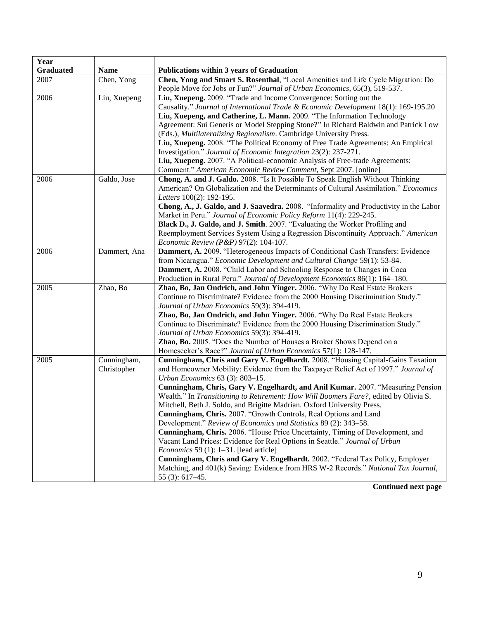| Year             |              |                                                                                                                          |
|------------------|--------------|--------------------------------------------------------------------------------------------------------------------------|
| <b>Graduated</b> | <b>Name</b>  | Publications within 3 years of Graduation                                                                                |
| 2007             | Chen, Yong   | Chen, Yong and Stuart S. Rosenthal, "Local Amenities and Life Cycle Migration: Do                                        |
|                  |              | People Move for Jobs or Fun?" Journal of Urban Economics, 65(3), 519-537.                                                |
| 2006             | Liu, Xuepeng | Liu, Xuepeng. 2009. "Trade and Income Convergence: Sorting out the                                                       |
|                  |              | Causality." Journal of International Trade & Economic Development 18(1): 169-195.20                                      |
|                  |              | Liu, Xuepeng, and Catherine, L. Mann. 2009. "The Information Technology                                                  |
|                  |              | Agreement: Sui Generis or Model Stepping Stone?" In Richard Baldwin and Patrick Low                                      |
|                  |              | (Eds.), Multilateralizing Regionalism. Cambridge University Press.                                                       |
|                  |              | Liu, Xuepeng. 2008. "The Political Economy of Free Trade Agreements: An Empirical                                        |
|                  |              | Investigation." Journal of Economic Integration 23(2): 237-271.                                                          |
|                  |              | Liu, Xuepeng. 2007. "A Political-economic Analysis of Free-trade Agreements:                                             |
|                  |              | Comment." American Economic Review Comment, Sept 2007. [online]                                                          |
| 2006             | Galdo, Jose  | Chong, A. and J. Galdo. 2008. "Is It Possible To Speak English Without Thinking                                          |
|                  |              | American? On Globalization and the Determinants of Cultural Assimilation." Economics<br>Letters 100(2): 192-195.         |
|                  |              | Chong, A., J. Galdo, and J. Saavedra. 2008. "Informality and Productivity in the Labor                                   |
|                  |              | Market in Peru." Journal of Economic Policy Reform 11(4): 229-245.                                                       |
|                  |              | Black D., J. Galdo, and J. Smith. 2007. "Evaluating the Worker Profiling and                                             |
|                  |              | Reemployment Services System Using a Regression Discontinuity Approach." American                                        |
|                  |              | <i>Economic Review (P&amp;P)</i> 97(2): 104-107.                                                                         |
| 2006             | Dammert, Ana | Dammert, A. 2009. "Heterogeneous Impacts of Conditional Cash Transfers: Evidence                                         |
|                  |              | from Nicaragua." Economic Development and Cultural Change 59(1): 53-84.                                                  |
|                  |              | Dammert, A. 2008. "Child Labor and Schooling Response to Changes in Coca                                                 |
|                  |              | Production in Rural Peru." Journal of Development Economics 86(1): 164-180.                                              |
| 2005             | Zhao, Bo     | Zhao, Bo, Jan Ondrich, and John Yinger. 2006. "Why Do Real Estate Brokers                                                |
|                  |              | Continue to Discriminate? Evidence from the 2000 Housing Discrimination Study."                                          |
|                  |              | Journal of Urban Economics 59(3): 394-419.                                                                               |
|                  |              | Zhao, Bo, Jan Ondrich, and John Yinger. 2006. "Why Do Real Estate Brokers                                                |
|                  |              | Continue to Discriminate? Evidence from the 2000 Housing Discrimination Study."                                          |
|                  |              | Journal of Urban Economics 59(3): 394-419.                                                                               |
|                  |              | Zhao, Bo. 2005. "Does the Number of Houses a Broker Shows Depend on a                                                    |
|                  |              | Homeseeker's Race?" Journal of Urban Economics 57(1): 128-147.                                                           |
| 2005             | Cunningham,  | Cunningham, Chris and Gary V. Engelhardt. 2008. "Housing Capital-Gains Taxation                                          |
|                  | Christopher  | and Homeowner Mobility: Evidence from the Taxpayer Relief Act of 1997." Journal of                                       |
|                  |              | Urban Economics 63 (3): 803-15.                                                                                          |
|                  |              | Cunningham, Chris, Gary V. Engelhardt, and Anil Kumar. 2007. "Measuring Pension                                          |
|                  |              | Wealth." In Transitioning to Retirement: How Will Boomers Fare?, edited by Olivia S.                                     |
|                  |              | Mitchell, Beth J. Soldo, and Brigitte Madrian. Oxford University Press.                                                  |
|                  |              | Cunningham, Chris. 2007. "Growth Controls, Real Options and Land                                                         |
|                  |              | Development." Review of Economics and Statistics 89 (2): 343-58.                                                         |
|                  |              | Cunningham, Chris. 2006. "House Price Uncertainty, Timing of Development, and                                            |
|                  |              | Vacant Land Prices: Evidence for Real Options in Seattle." Journal of Urban<br>Economics 59 (1): $1-31$ . [lead article] |
|                  |              | Cunningham, Chris and Gary V. Engelhardt. 2002. "Federal Tax Policy, Employer                                            |
|                  |              | Matching, and 401(k) Saving: Evidence from HRS W-2 Records." National Tax Journal,                                       |
|                  |              | 55 $(3): 617-45.$                                                                                                        |